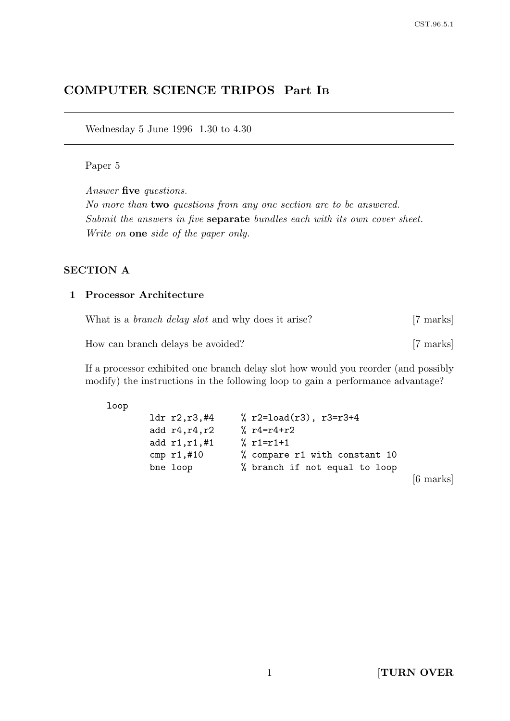# COMPUTER SCIENCE TRIPOS Part I<sup>B</sup>

Wednesday 5 June 1996 1.30 to 4.30

#### Paper 5

Answer five questions.

No more than two questions from any one section are to be answered. Submit the answers in five separate bundles each with its own cover sheet. Write on one side of the paper only.

## SECTION A

## 1 Processor Architecture

| What is a <i>branch delay slot</i> and why does it arise? | [7 marks] |
|-----------------------------------------------------------|-----------|
| How can branch delays be avoided?                         | [7 marks] |

If a processor exhibited one branch delay slot how would you reorder (and possibly modify) the instructions in the following loop to gain a performance advantage?

#### loop

| 1dr r2,r3,#4     | % $r2 = load(r3)$ , $r3 = r3 + 4$ |                     |
|------------------|-----------------------------------|---------------------|
| add $r4, r4, r2$ | % $r4 = r4 + r2$                  |                     |
| add $r1, r1, #1$ | $% r1=r1+1$                       |                     |
| cmp $r1, #10$    | % compare r1 with constant 10     |                     |
| bne loop         | % branch if not equal to loop     |                     |
|                  |                                   | $[6 \text{ marks}]$ |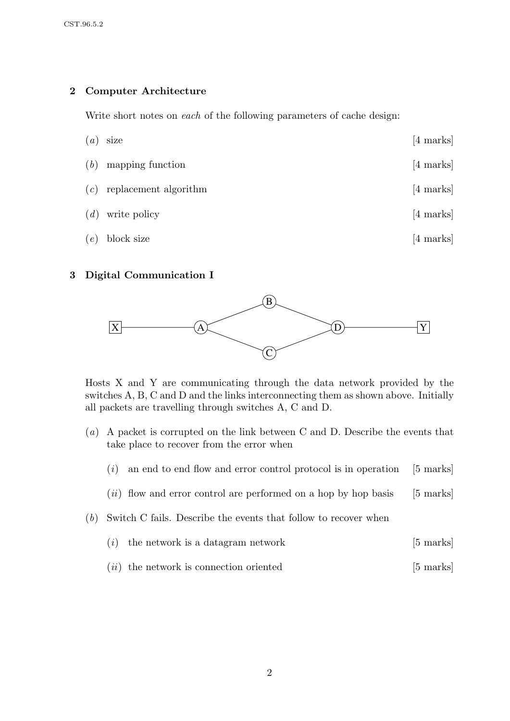# 2 Computer Architecture

Write short notes on each of the following parameters of cache design:

| $\left( a\right)$ | size                        | $[4 \text{ marks}]$ |
|-------------------|-----------------------------|---------------------|
| (b)               | mapping function            | $[4 \text{ marks}]$ |
|                   | $(c)$ replacement algorithm | $[4 \text{ marks}]$ |
| (d)               | write policy                | $[4 \text{ marks}]$ |
| (e)               | block size                  | $[4 \text{ marks}]$ |

#### 3 Digital Communication I



Hosts X and Y are communicating through the data network provided by the switches A, B, C and D and the links interconnecting them as shown above. Initially all packets are travelling through switches A, C and D.

- (a) A packet is corrupted on the link between C and D. Describe the events that take place to recover from the error when
	- $(i)$  an end to end flow and error control protocol is in operation [5 marks]
	- $(ii)$  flow and error control are performed on a hop by hop basis [5 marks]
- (b) Switch C fails. Describe the events that follow to recover when
	- (*i*) the network is a datagram network  $[5 \text{ marks}]$
	- $(ii)$  the network is connection oriented [5 marks]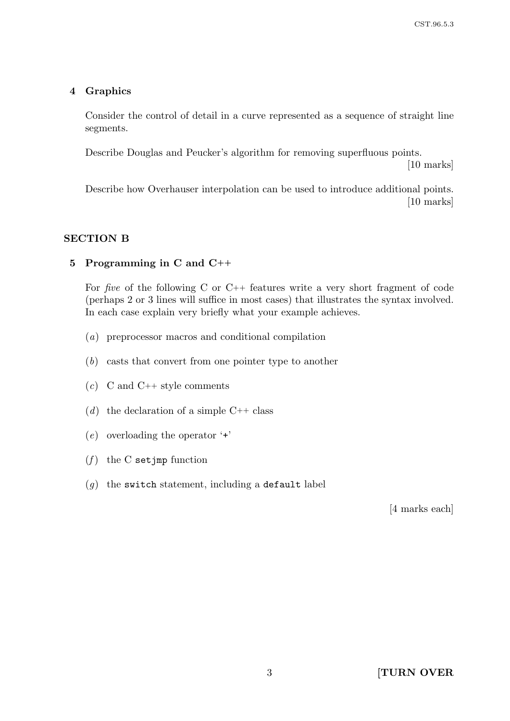## 4 Graphics

Consider the control of detail in a curve represented as a sequence of straight line segments.

Describe Douglas and Peucker's algorithm for removing superfluous points.

[10 marks]

Describe how Overhauser interpolation can be used to introduce additional points. [10 marks]

# SECTION B

#### 5 Programming in C and C++

For five of the following C or C++ features write a very short fragment of code (perhaps 2 or 3 lines will suffice in most cases) that illustrates the syntax involved. In each case explain very briefly what your example achieves.

- (a) preprocessor macros and conditional compilation
- (b) casts that convert from one pointer type to another
- $(c)$  C and C++ style comments
- (d) the declaration of a simple  $C++$  class
- $(e)$  overloading the operator  $\ddots$
- $(f)$  the C setjmp function
- $(q)$  the switch statement, including a default label

[4 marks each]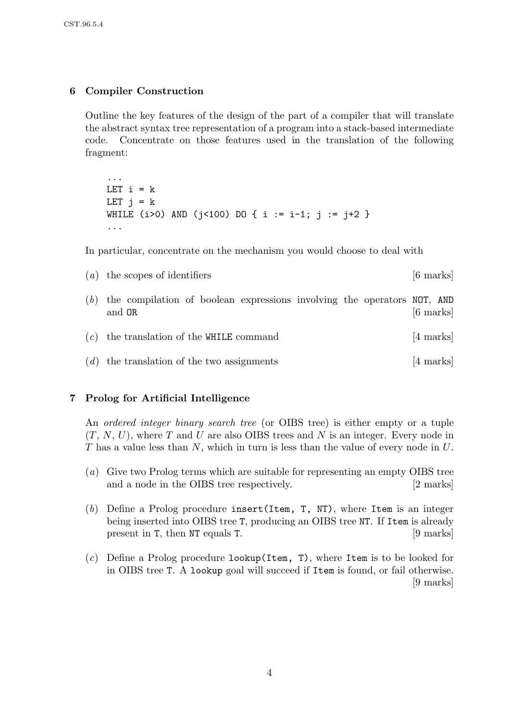# 6 Compiler Construction

...

Outline the key features of the design of the part of a compiler that will translate the abstract syntax tree representation of a program into a stack-based intermediate code. Concentrate on those features used in the translation of the following fragment:

LET  $i = k$ LET  $i = k$ WHILE (i>0) AND ( $i$ <100) DO { i := i-1;  $i := i+2$  } ...

In particular, concentrate on the mechanism you would choose to deal with

 $(a)$  the scopes of identifiers [6 marks] (b) the compilation of boolean expressions involving the operators NOT, AND and  $\mathsf{OR}$  [6 marks]  $(c)$  the translation of the WHILE command [4 marks]

 $(d)$  the translation of the two assignments [4 marks]

#### 7 Prolog for Artificial Intelligence

An ordered integer binary search tree (or OIBS tree) is either empty or a tuple  $(T, N, U)$ , where T and U are also OIBS trees and N is an integer. Every node in T has a value less than N, which in turn is less than the value of every node in U.

- (a) Give two Prolog terms which are suitable for representing an empty OIBS tree and a node in the OIBS tree respectively. [2 marks]
- (b) Define a Prolog procedure insert(Item, T, NT), where Item is an integer being inserted into OIBS tree T, producing an OIBS tree NT. If Item is already present in T, then NT equals T. [9 marks]
- $(c)$  Define a Prolog procedure lookup(Item, T), where Item is to be looked for in OIBS tree T. A lookup goal will succeed if Item is found, or fail otherwise. [9 marks]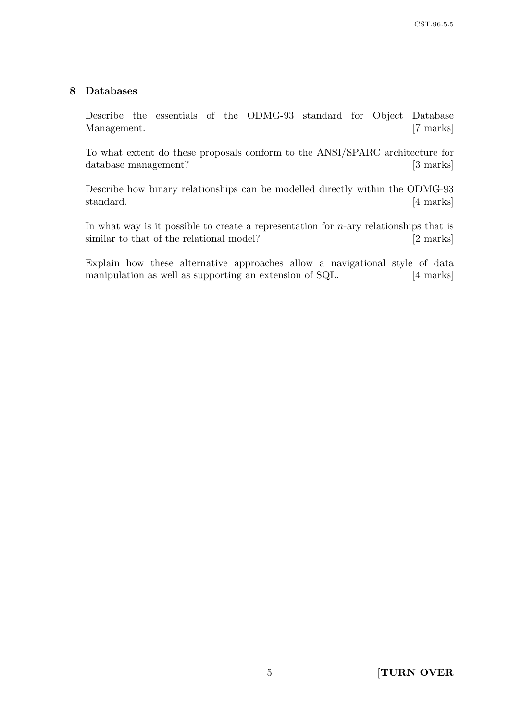#### 8 Databases

Describe the essentials of the ODMG-93 standard for Object Database Management. [7 marks]

To what extent do these proposals conform to the ANSI/SPARC architecture for database management? [3 marks]

Describe how binary relationships can be modelled directly within the ODMG-93 standard. [4 marks]

In what way is it possible to create a representation for  $n$ -ary relationships that is similar to that of the relational model? [2 marks]

Explain how these alternative approaches allow a navigational style of data manipulation as well as supporting an extension of SQL. [4 marks]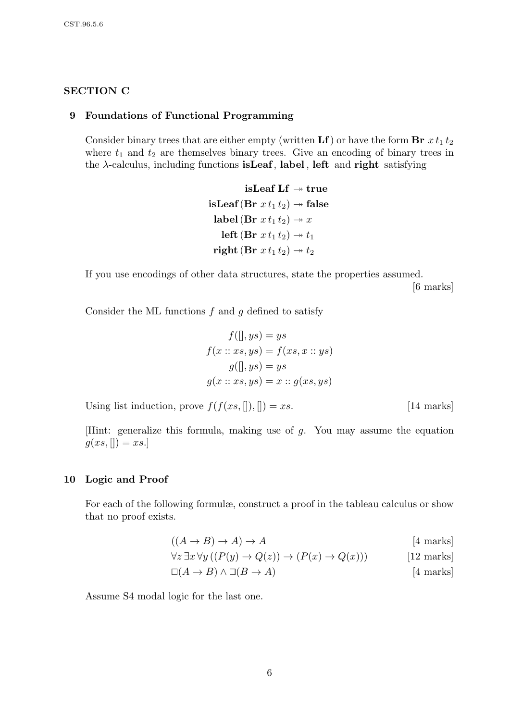# SECTION C

#### 9 Foundations of Functional Programming

Consider binary trees that are either empty (written  $\bf{L}f$ ) or have the form  $\bf{Br}$   $xt_1t_2$ where  $t_1$  and  $t_2$  are themselves binary trees. Give an encoding of binary trees in the  $\lambda$ -calculus, including functions **isLeaf**, label, left and **right** satisfying

> isLeaf Lf  $\rightarrow$  true isLeaf(Br  $x t_1 t_2$ )  $\rightarrow$  false label (Br  $x t_1 t_2$ )  $\rightarrow x$ left (Br  $x t_1 t_2$ )  $\rightarrow t_1$ right (Br  $x t_1 t_2$ )  $\rightarrow t_2$

If you use encodings of other data structures, state the properties assumed. [6 marks]

Consider the ML functions  $f$  and  $g$  defined to satisfy

$$
f([], ys) = ys
$$
  
\n
$$
f(x :: xs, ys) = f(xs, x :: ys)
$$
  
\n
$$
g([], ys) = ys
$$
  
\n
$$
g(x :: xs, ys) = x :: g(xs, ys)
$$

Using list induction, prove  $f(f(xs, \|), \|) = xs.$  [14 marks]

[Hint: generalize this formula, making use of g. You may assume the equation  $g(xs, [] = xs.]$ 

#### 10 Logic and Proof

For each of the following formulæ, construct a proof in the tableau calculus or show that no proof exists.

$$
((A \to B) \to A) \to A \tag{4 marks}
$$

$$
\forall z \exists x \forall y ((P(y) \to Q(z)) \to (P(x) \to Q(x))) \tag{12 marks}
$$

$$
\Box(A \to B) \land \Box(B \to A) \tag{4 marks}
$$

Assume S4 modal logic for the last one.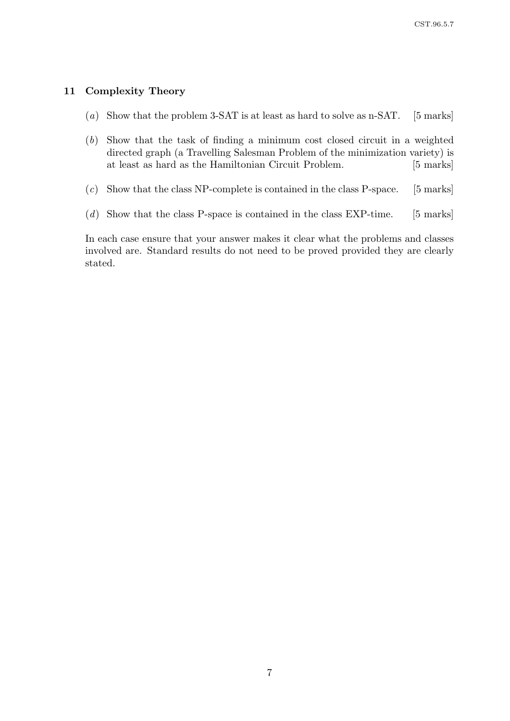#### 11 Complexity Theory

- (a) Show that the problem  $3$ -SAT is at least as hard to solve as n-SAT. [5 marks]
- (b) Show that the task of finding a minimum cost closed circuit in a weighted directed graph (a Travelling Salesman Problem of the minimization variety) is at least as hard as the Hamiltonian Circuit Problem. [5 marks]
- $(c)$  Show that the class NP-complete is contained in the class P-space. [5 marks]
- $(d)$  Show that the class P-space is contained in the class EXP-time. [5 marks]

In each case ensure that your answer makes it clear what the problems and classes involved are. Standard results do not need to be proved provided they are clearly stated.